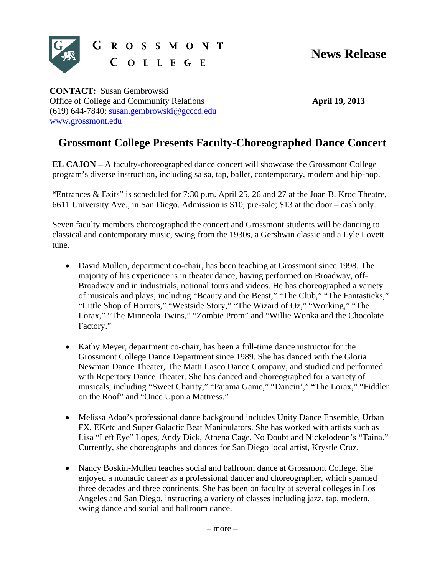

G R O S S M O N T COLLEGE

**CONTACT:** Susan Gembrowski Office of College and Community Relations (619) 644-7840; susan.gembrowski@gcccd.edu www.grossmont.edu

**April 19, 2013** 

## **Grossmont College Presents Faculty-Choreographed Dance Concert**

**EL CAJON** – A faculty-choreographed dance concert will showcase the Grossmont College program's diverse instruction, including salsa, tap, ballet, contemporary, modern and hip-hop.

"Entrances & Exits" is scheduled for 7:30 p.m. April 25, 26 and 27 at the Joan B. Kroc Theatre, 6611 University Ave., in San Diego. Admission is \$10, pre-sale; \$13 at the door – cash only.

Seven faculty members choreographed the concert and Grossmont students will be dancing to classical and contemporary music, swing from the 1930s, a Gershwin classic and a Lyle Lovett tune.

- David Mullen, department co-chair, has been teaching at Grossmont since 1998. The majority of his experience is in theater dance, having performed on Broadway, off-Broadway and in industrials, national tours and videos. He has choreographed a variety of musicals and plays, including "Beauty and the Beast," "The Club," "The Fantasticks," "Little Shop of Horrors," "Westside Story," "The Wizard of Oz," "Working," "The Lorax," "The Minneola Twins," "Zombie Prom" and "Willie Wonka and the Chocolate Factory."
- Kathy Meyer, department co-chair, has been a full-time dance instructor for the Grossmont College Dance Department since 1989. She has danced with the Gloria Newman Dance Theater, The Matti Lasco Dance Company, and studied and performed with Repertory Dance Theater. She has danced and choreographed for a variety of musicals, including "Sweet Charity," "Pajama Game," "Dancin'," "The Lorax," "Fiddler on the Roof" and "Once Upon a Mattress."
- Melissa Adao's professional dance background includes Unity Dance Ensemble, Urban FX, EKetc and Super Galactic Beat Manipulators. She has worked with artists such as Lisa "Left Eye" Lopes, Andy Dick, Athena Cage, No Doubt and Nickelodeon's "Taina." Currently, she choreographs and dances for San Diego local artist, Krystle Cruz.
- Nancy Boskin-Mullen teaches social and ballroom dance at Grossmont College. She enjoyed a nomadic career as a professional dancer and choreographer, which spanned three decades and three continents. She has been on faculty at several colleges in Los Angeles and San Diego, instructing a variety of classes including jazz, tap, modern, swing dance and social and ballroom dance.